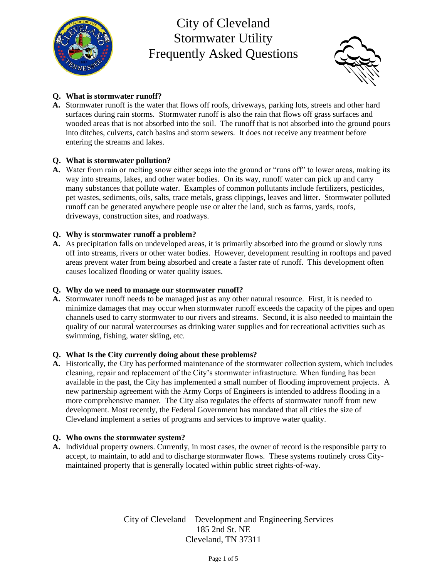



## **Q. What is stormwater runoff?**

**A.** Stormwater runoff is the water that flows off roofs, driveways, parking lots, streets and other hard surfaces during rain storms. Stormwater runoff is also the rain that flows off grass surfaces and wooded areas that is not absorbed into the soil. The runoff that is not absorbed into the ground pours into ditches, culverts, catch basins and storm sewers. It does not receive any treatment before entering the streams and lakes.

## **Q. What is stormwater pollution?**

**A.** Water from rain or melting snow either seeps into the ground or "runs off" to lower areas, making its way into streams, lakes, and other water bodies. On its way, runoff water can pick up and carry many substances that pollute water. Examples of common pollutants include fertilizers, pesticides, pet wastes, sediments, oils, salts, trace metals, grass clippings, leaves and litter. Stormwater polluted runoff can be generated anywhere people use or alter the land, such as farms, yards, roofs, driveways, construction sites, and roadways.

## **Q. Why is stormwater runoff a problem?**

**A.** As precipitation falls on undeveloped areas, it is primarily absorbed into the ground or slowly runs off into streams, rivers or other water bodies. However, development resulting in rooftops and paved areas prevent water from being absorbed and create a faster rate of runoff. This development often causes localized flooding or water quality issues.

### **Q. Why do we need to manage our stormwater runoff?**

**A.** Stormwater runoff needs to be managed just as any other natural resource. First, it is needed to minimize damages that may occur when stormwater runoff exceeds the capacity of the pipes and open channels used to carry stormwater to our rivers and streams. Second, it is also needed to maintain the quality of our natural watercourses as drinking water supplies and for recreational activities such as swimming, fishing, water skiing, etc.

### **Q. What Is the City currently doing about these problems?**

**A.** Historically, the City has performed maintenance of the stormwater collection system, which includes cleaning, repair and replacement of the City's stormwater infrastructure. When funding has been available in the past, the City has implemented a small number of flooding improvement projects. A new partnership agreement with the Army Corps of Engineers is intended to address flooding in a more comprehensive manner. The City also regulates the effects of stormwater runoff from new development. Most recently, the Federal Government has mandated that all cities the size of Cleveland implement a series of programs and services to improve water quality.

### **Q. Who owns the stormwater system?**

**A.** Individual property owners. Currently, in most cases, the owner of record is the responsible party to accept, to maintain, to add and to discharge stormwater flows. These systems routinely cross Citymaintained property that is generally located within public street rights-of-way.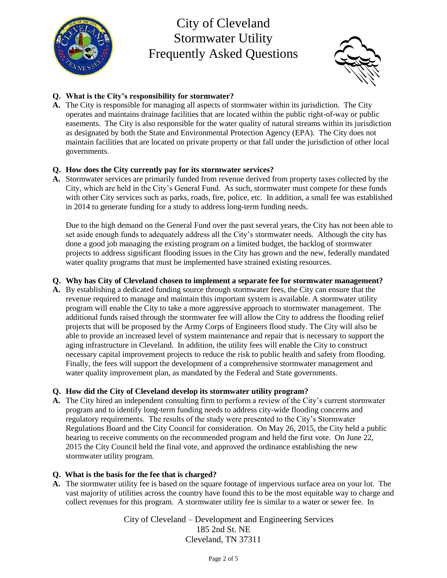



## **Q. What is the City's responsibility for stormwater?**

**A.** The City is responsible for managing all aspects of stormwater within its jurisdiction. The City operates and maintains drainage facilities that are located within the public right-of-way or public easements. The City is also responsible for the water quality of natural streams within its jurisdiction as designated by both the State and Environmental Protection Agency (EPA). The City does not maintain facilities that are located on private property or that fall under the jurisdiction of other local governments.

### **Q. How does the City currently pay for its stormwater services?**

**A.** Stormwater services are primarily funded from revenue derived from property taxes collected by the City, which are held in the City's General Fund. As such, stormwater must compete for these funds with other City services such as parks, roads, fire, police, etc. In addition, a small fee was established in 2014 to generate funding for a study to address long-term funding needs.

Due to the high demand on the General Fund over the past several years, the City has not been able to set aside enough funds to adequately address all the City's stormwater needs. Although the city has done a good job managing the existing program on a limited budget, the backlog of stormwater projects to address significant flooding issues in the City has grown and the new, federally mandated water quality programs that must be implemented have strained existing resources.

#### **Q. Why has City of Cleveland chosen to implement a separate fee for stormwater management?**

**A.** By establishing a dedicated funding source through stormwater fees, the City can ensure that the revenue required to manage and maintain this important system is available. A stormwater utility program will enable the City to take a more aggressive approach to stormwater management. The additional funds raised through the stormwater fee will allow the City to address the flooding relief projects that will be proposed by the Army Corps of Engineers flood study. The City will also be able to provide an increased level of system maintenance and repair that is necessary to support the aging infrastructure in Cleveland. In addition, the utility fees will enable the City to construct necessary capital improvement projects to reduce the risk to public health and safety from flooding. Finally, the fees will support the development of a comprehensive stormwater management and water quality improvement plan, as mandated by the Federal and State governments.

#### **Q. How did the City of Cleveland develop its stormwater utility program?**

**A.** The City hired an independent consulting firm to perform a review of the City's current stormwater program and to identify long-term funding needs to address city-wide flooding concerns and regulatory requirements. The results of the study were presented to the City's Stormwater Regulations Board and the City Council for consideration. On May 26, 2015, the City held a public hearing to receive comments on the recommended program and held the first vote. On June 22, 2015 the City Council held the final vote, and approved the ordinance establishing the new stormwater utility program.

#### **Q. What is the basis for the fee that is charged?**

**A.** The stormwater utility fee is based on the square footage of impervious surface area on your lot. The vast majority of utilities across the country have found this to be the most equitable way to charge and collect revenues for this program. A stormwater utility fee is similar to a water or sewer fee. In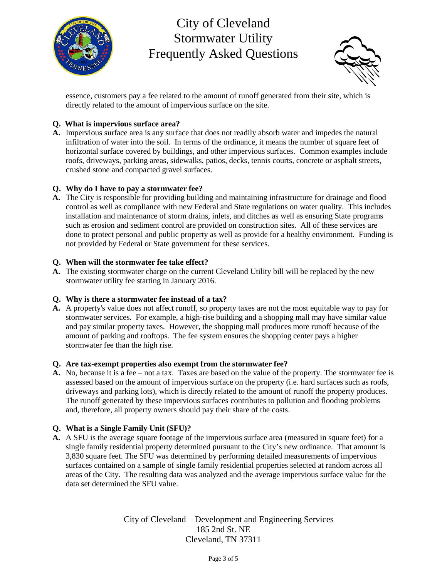



essence, customers pay a fee related to the amount of runoff generated from their site, which is directly related to the amount of impervious surface on the site.

### **Q. What is impervious surface area?**

**A.** Impervious surface area is any surface that does not readily absorb water and impedes the natural infiltration of water into the soil. In terms of the ordinance, it means the number of square feet of horizontal surface covered by buildings, and other impervious surfaces. Common examples include roofs, driveways, parking areas, sidewalks, patios, decks, tennis courts, concrete or asphalt streets, crushed stone and compacted gravel surfaces.

### **Q. Why do I have to pay a stormwater fee?**

**A.** The City is responsible for providing building and maintaining infrastructure for drainage and flood control as well as compliance with new Federal and State regulations on water quality. This includes installation and maintenance of storm drains, inlets, and ditches as well as ensuring State programs such as erosion and sediment control are provided on construction sites. All of these services are done to protect personal and public property as well as provide for a healthy environment. Funding is not provided by Federal or State government for these services.

#### **Q. When will the stormwater fee take effect?**

**A.** The existing stormwater charge on the current Cleveland Utility bill will be replaced by the new stormwater utility fee starting in January 2016.

### **Q. Why is there a stormwater fee instead of a tax?**

**A.** A property's value does not affect runoff, so property taxes are not the most equitable way to pay for stormwater services. For example, a high-rise building and a shopping mall may have similar value and pay similar property taxes. However, the shopping mall produces more runoff because of the amount of parking and rooftops. The fee system ensures the shopping center pays a higher stormwater fee than the high rise.

#### **Q. Are tax-exempt properties also exempt from the stormwater fee?**

**A.** No, because it is a fee – not a tax. Taxes are based on the value of the property. The stormwater fee is assessed based on the amount of impervious surface on the property (i.e. hard surfaces such as roofs, driveways and parking lots), which is directly related to the amount of runoff the property produces. The runoff generated by these impervious surfaces contributes to pollution and flooding problems and, therefore, all property owners should pay their share of the costs.

### **Q. What is a Single Family Unit (SFU)?**

**A.** A SFU is the average square footage of the impervious surface area (measured in square feet) for a single family residential property determined pursuant to the City's new ordinance. That amount is 3,830 square feet. The SFU was determined by performing detailed measurements of impervious surfaces contained on a sample of single family residential properties selected at random across all areas of the City. The resulting data was analyzed and the average impervious surface value for the data set determined the SFU value.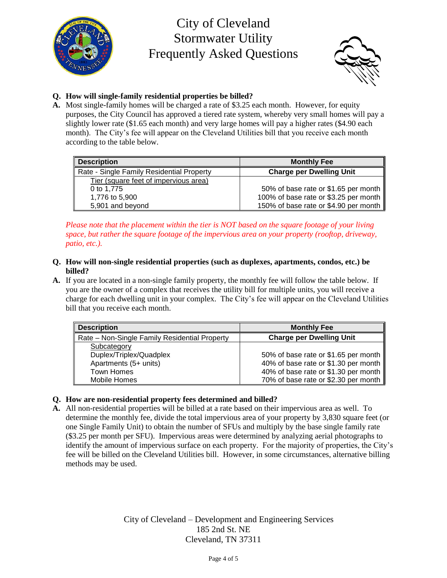



# **Q. How will single-family residential properties be billed?**

**A.** Most single-family homes will be charged a rate of \$3.25 each month. However, for equity purposes, the City Council has approved a tiered rate system, whereby very small homes will pay a slightly lower rate (\$1.65 each month) and very large homes will pay a higher rates (\$4.90 each month). The City's fee will appear on the Cleveland Utilities bill that you receive each month according to the table below.

| <b>Description</b>                        | <b>Monthly Fee</b>                    |
|-------------------------------------------|---------------------------------------|
| Rate - Single Family Residential Property | <b>Charge per Dwelling Unit</b>       |
| Tier (square feet of impervious area)     |                                       |
| 0 to 1.775                                | 50% of base rate or \$1.65 per month  |
| 1,776 to 5,900                            | 100% of base rate or \$3.25 per month |
| 5,901 and beyond                          | 150% of base rate or \$4.90 per month |

*Please note that the placement within the tier is NOT based on the square footage of your living space, but rather the square footage of the impervious area on your property (rooftop, driveway, patio, etc.).*

- **Q. How will non-single residential properties (such as duplexes, apartments, condos, etc.) be billed?**
- **A.** If you are located in a non-single family property, the monthly fee will follow the table below. If you are the owner of a complex that receives the utility bill for multiple units, you will receive a charge for each dwelling unit in your complex. The City's fee will appear on the Cleveland Utilities bill that you receive each month.

| <b>Description</b>                            | <b>Monthly Fee</b>                   |
|-----------------------------------------------|--------------------------------------|
| Rate – Non-Single Family Residential Property | <b>Charge per Dwelling Unit</b>      |
| Subcategory                                   |                                      |
| Duplex/Triplex/Quadplex                       | 50% of base rate or \$1.65 per month |
| Apartments (5+ units)                         | 40% of base rate or \$1.30 per month |
| Town Homes                                    | 40% of base rate or \$1.30 per month |
| Mobile Homes                                  | 70% of base rate or \$2.30 per month |

### **Q. How are non-residential property fees determined and billed?**

**A.** All non-residential properties will be billed at a rate based on their impervious area as well. To determine the monthly fee, divide the total impervious area of your property by 3,830 square feet (or one Single Family Unit) to obtain the number of SFUs and multiply by the base single family rate (\$3.25 per month per SFU). Impervious areas were determined by analyzing aerial photographs to identify the amount of impervious surface on each property. For the majority of properties, the City's fee will be billed on the Cleveland Utilities bill. However, in some circumstances, alternative billing methods may be used.